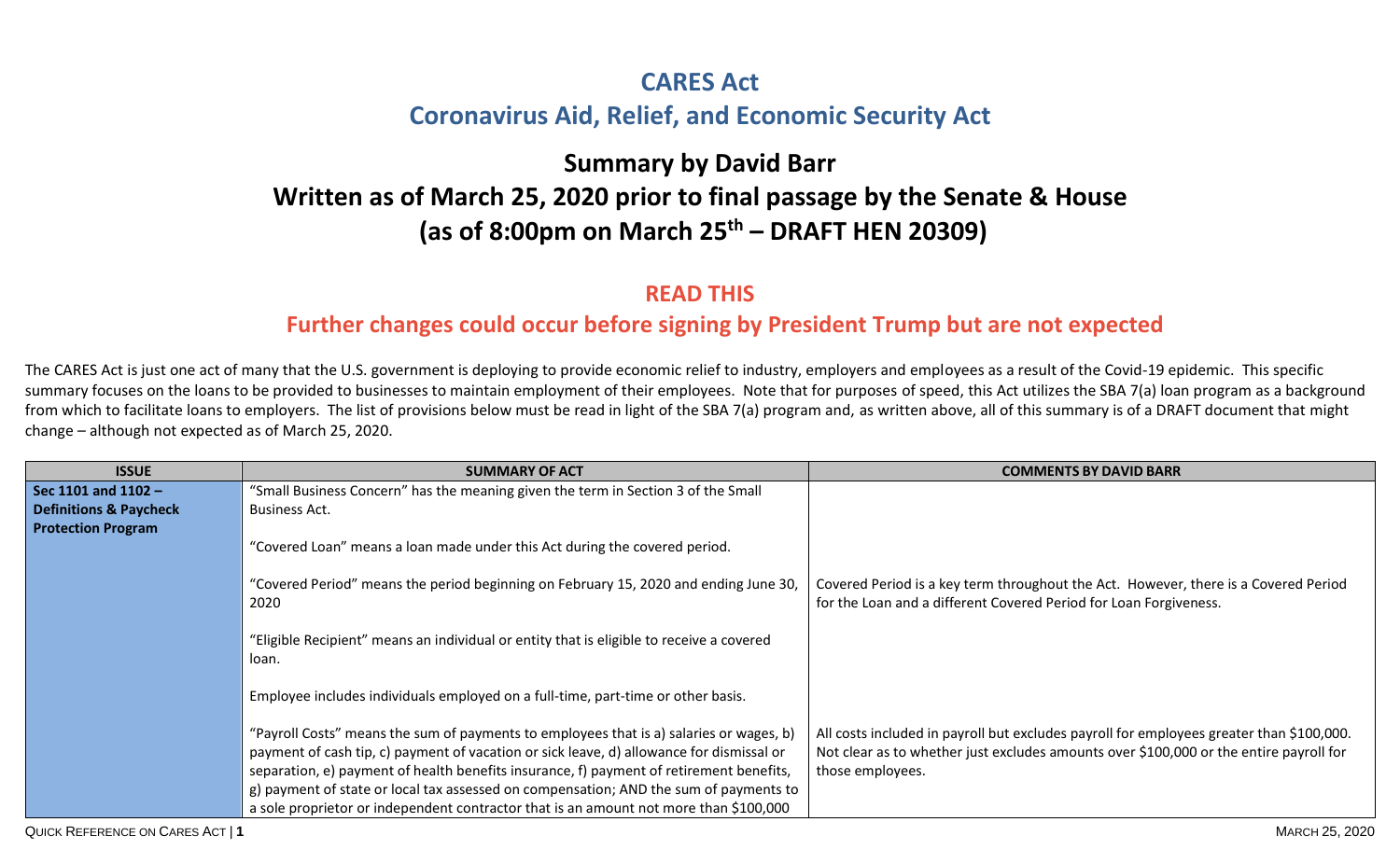## **CARES Act Coronavirus Aid, Relief, and Economic Security Act**

## **Summary by David Barr Written as of March 25, 2020 prior to final passage by the Senate & House (as of 8:00pm on March 25 th – DRAFT HEN 20309)**

## **READ THIS**

## **Further changes could occur before signing by President Trump but are not expected**

The CARES Act is just one act of many that the U.S. government is deploying to provide economic relief to industry, employers and employees as a result of the Covid-19 epidemic. This specific summary focuses on the loans to be provided to businesses to maintain employment of their employees. Note that for purposes of speed, this Act utilizes the SBA 7(a) loan program as a background from which to facilitate loans to employers. The list of provisions below must be read in light of the SBA 7(a) program and, as written above, all of this summary is of a DRAFT document that might change – although not expected as of March 25, 2020.

| <b>ISSUE</b>                      | <b>SUMMARY OF ACT</b>                                                                             | <b>COMMENTS BY DAVID BARR</b>                                                            |
|-----------------------------------|---------------------------------------------------------------------------------------------------|------------------------------------------------------------------------------------------|
| Sec 1101 and 1102 -               | "Small Business Concern" has the meaning given the term in Section 3 of the Small                 |                                                                                          |
| <b>Definitions &amp; Paycheck</b> | Business Act.                                                                                     |                                                                                          |
| <b>Protection Program</b>         |                                                                                                   |                                                                                          |
|                                   | "Covered Loan" means a loan made under this Act during the covered period.                        |                                                                                          |
|                                   |                                                                                                   |                                                                                          |
|                                   | "Covered Period" means the period beginning on February 15, 2020 and ending June 30,              | Covered Period is a key term throughout the Act. However, there is a Covered Period      |
|                                   | 2020                                                                                              | for the Loan and a different Covered Period for Loan Forgiveness.                        |
|                                   |                                                                                                   |                                                                                          |
|                                   | "Eligible Recipient" means an individual or entity that is eligible to receive a covered<br>loan. |                                                                                          |
|                                   |                                                                                                   |                                                                                          |
|                                   | Employee includes individuals employed on a full-time, part-time or other basis.                  |                                                                                          |
|                                   |                                                                                                   |                                                                                          |
|                                   | "Payroll Costs" means the sum of payments to employees that is a) salaries or wages, b)           | All costs included in payroll but excludes payroll for employees greater than \$100,000. |
|                                   | payment of cash tip, c) payment of vacation or sick leave, d) allowance for dismissal or          | Not clear as to whether just excludes amounts over \$100,000 or the entire payroll for   |
|                                   | separation, e) payment of health benefits insurance, f) payment of retirement benefits,           | those employees.                                                                         |
|                                   | g) payment of state or local tax assessed on compensation; AND the sum of payments to             |                                                                                          |
|                                   | a sole proprietor or independent contractor that is an amount not more than \$100,000             |                                                                                          |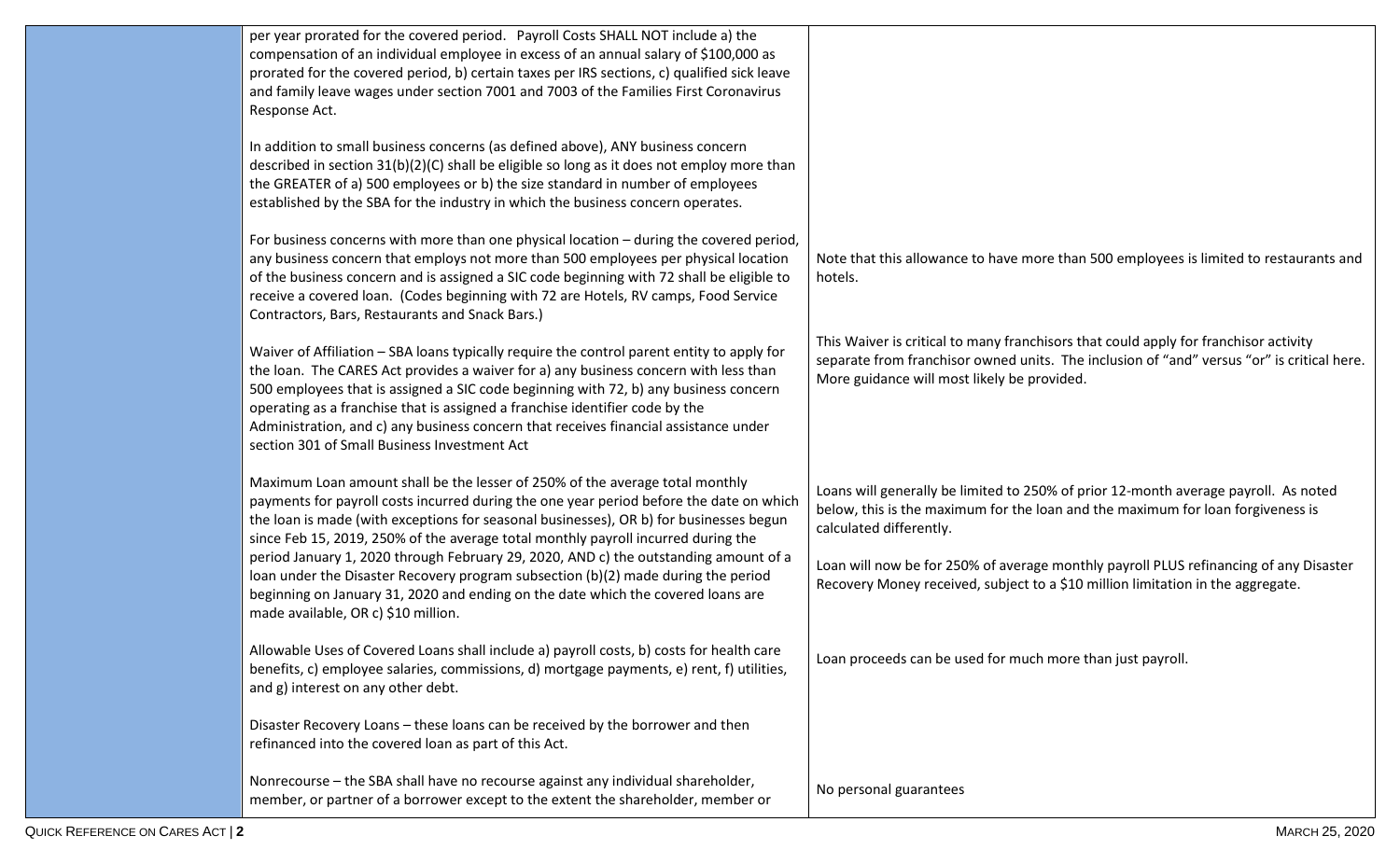| per year prorated for the covered period. Payroll Costs SHALL NOT include a) the<br>compensation of an individual employee in excess of an annual salary of \$100,000 as<br>prorated for the covered period, b) certain taxes per IRS sections, c) qualified sick leave<br>and family leave wages under section 7001 and 7003 of the Families First Coronavirus<br>Response Act.                                                                                                                   |                                                                                                                                                                                                                                   |
|----------------------------------------------------------------------------------------------------------------------------------------------------------------------------------------------------------------------------------------------------------------------------------------------------------------------------------------------------------------------------------------------------------------------------------------------------------------------------------------------------|-----------------------------------------------------------------------------------------------------------------------------------------------------------------------------------------------------------------------------------|
| In addition to small business concerns (as defined above), ANY business concern<br>described in section $31(b)(2)(C)$ shall be eligible so long as it does not employ more than<br>the GREATER of a) 500 employees or b) the size standard in number of employees<br>established by the SBA for the industry in which the business concern operates.                                                                                                                                               |                                                                                                                                                                                                                                   |
| For business concerns with more than one physical location - during the covered period,<br>any business concern that employs not more than 500 employees per physical location<br>of the business concern and is assigned a SIC code beginning with 72 shall be eligible to<br>receive a covered loan. (Codes beginning with 72 are Hotels, RV camps, Food Service<br>Contractors, Bars, Restaurants and Snack Bars.)                                                                              | Note that this allowance to have more than 500 employees is limited to restaurants and<br>hotels.                                                                                                                                 |
| Waiver of Affiliation - SBA loans typically require the control parent entity to apply for<br>the loan. The CARES Act provides a waiver for a) any business concern with less than<br>500 employees that is assigned a SIC code beginning with 72, b) any business concern<br>operating as a franchise that is assigned a franchise identifier code by the<br>Administration, and c) any business concern that receives financial assistance under<br>section 301 of Small Business Investment Act | This Waiver is critical to many franchisors that could apply for franchisor activity<br>separate from franchisor owned units. The inclusion of "and" versus "or" is critical here.<br>More guidance will most likely be provided. |
| Maximum Loan amount shall be the lesser of 250% of the average total monthly<br>payments for payroll costs incurred during the one year period before the date on which<br>the loan is made (with exceptions for seasonal businesses), OR b) for businesses begun<br>since Feb 15, 2019, 250% of the average total monthly payroll incurred during the                                                                                                                                             | Loans will generally be limited to 250% of prior 12-month average payroll. As noted<br>below, this is the maximum for the loan and the maximum for loan forgiveness is<br>calculated differently.                                 |
| period January 1, 2020 through February 29, 2020, AND c) the outstanding amount of a<br>loan under the Disaster Recovery program subsection (b)(2) made during the period<br>beginning on January 31, 2020 and ending on the date which the covered loans are<br>made available, OR c) \$10 million.                                                                                                                                                                                               | Loan will now be for 250% of average monthly payroll PLUS refinancing of any Disaster<br>Recovery Money received, subject to a \$10 million limitation in the aggregate.                                                          |
| Allowable Uses of Covered Loans shall include a) payroll costs, b) costs for health care<br>benefits, c) employee salaries, commissions, d) mortgage payments, e) rent, f) utilities,<br>and g) interest on any other debt.                                                                                                                                                                                                                                                                        | Loan proceeds can be used for much more than just payroll.                                                                                                                                                                        |
| Disaster Recovery Loans - these loans can be received by the borrower and then<br>refinanced into the covered loan as part of this Act.                                                                                                                                                                                                                                                                                                                                                            |                                                                                                                                                                                                                                   |
| Nonrecourse - the SBA shall have no recourse against any individual shareholder,<br>member, or partner of a borrower except to the extent the shareholder, member or                                                                                                                                                                                                                                                                                                                               | No personal guarantees                                                                                                                                                                                                            |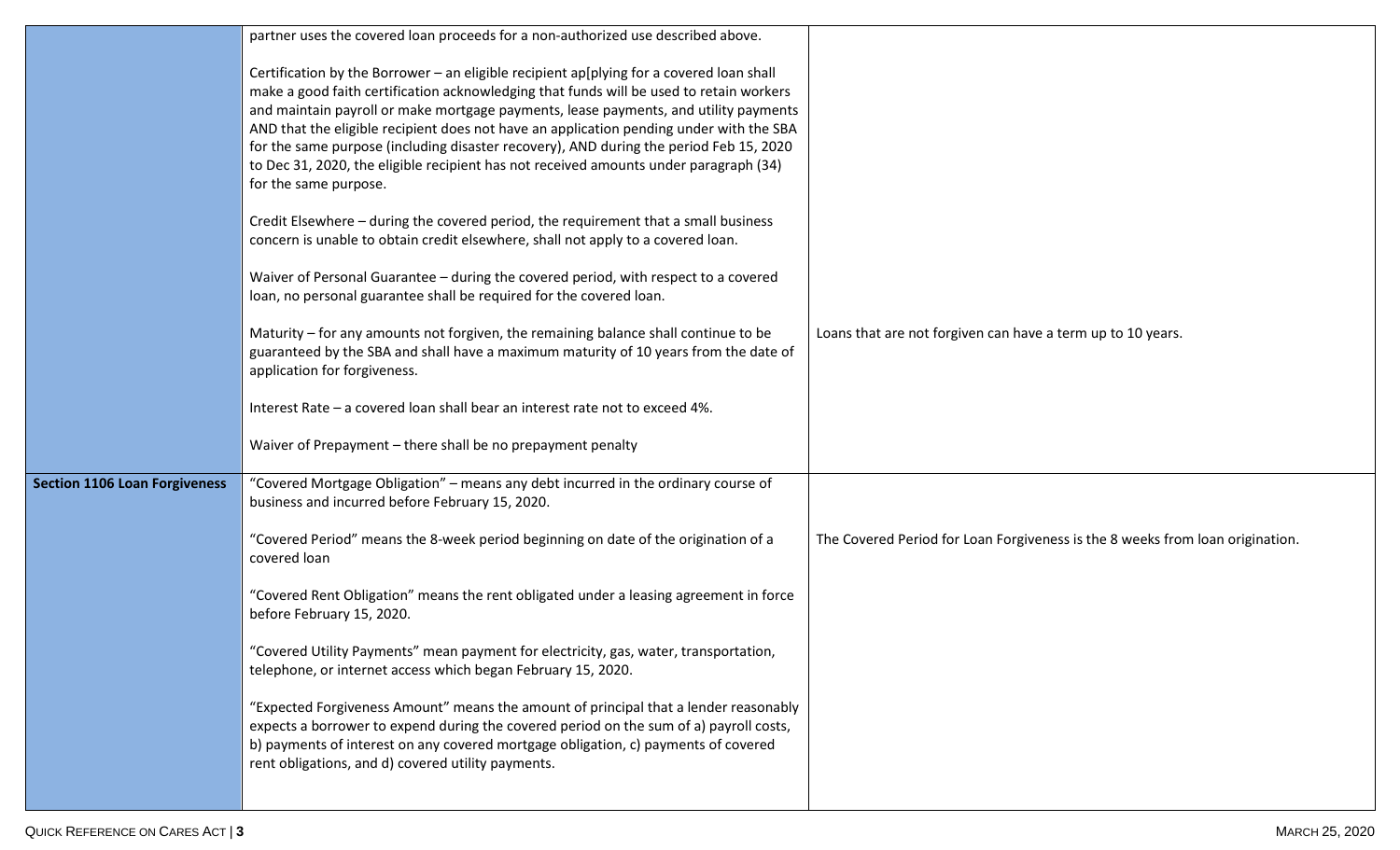|                                      | partner uses the covered loan proceeds for a non-authorized use described above.                                                                                                                                                                                                                                                                                                                                                                                                                                                                                                   |                                                                               |
|--------------------------------------|------------------------------------------------------------------------------------------------------------------------------------------------------------------------------------------------------------------------------------------------------------------------------------------------------------------------------------------------------------------------------------------------------------------------------------------------------------------------------------------------------------------------------------------------------------------------------------|-------------------------------------------------------------------------------|
|                                      | Certification by the Borrower - an eligible recipient ap[plying for a covered loan shall<br>make a good faith certification acknowledging that funds will be used to retain workers<br>and maintain payroll or make mortgage payments, lease payments, and utility payments<br>AND that the eligible recipient does not have an application pending under with the SBA<br>for the same purpose (including disaster recovery), AND during the period Feb 15, 2020<br>to Dec 31, 2020, the eligible recipient has not received amounts under paragraph (34)<br>for the same purpose. |                                                                               |
|                                      | Credit Elsewhere - during the covered period, the requirement that a small business<br>concern is unable to obtain credit elsewhere, shall not apply to a covered loan.                                                                                                                                                                                                                                                                                                                                                                                                            |                                                                               |
|                                      | Waiver of Personal Guarantee - during the covered period, with respect to a covered<br>loan, no personal guarantee shall be required for the covered loan.                                                                                                                                                                                                                                                                                                                                                                                                                         |                                                                               |
|                                      | Maturity - for any amounts not forgiven, the remaining balance shall continue to be<br>guaranteed by the SBA and shall have a maximum maturity of 10 years from the date of<br>application for forgiveness.                                                                                                                                                                                                                                                                                                                                                                        | Loans that are not forgiven can have a term up to 10 years.                   |
|                                      | Interest Rate - a covered loan shall bear an interest rate not to exceed 4%.                                                                                                                                                                                                                                                                                                                                                                                                                                                                                                       |                                                                               |
|                                      | Waiver of Prepayment - there shall be no prepayment penalty                                                                                                                                                                                                                                                                                                                                                                                                                                                                                                                        |                                                                               |
| <b>Section 1106 Loan Forgiveness</b> | "Covered Mortgage Obligation" - means any debt incurred in the ordinary course of<br>business and incurred before February 15, 2020.                                                                                                                                                                                                                                                                                                                                                                                                                                               |                                                                               |
|                                      | "Covered Period" means the 8-week period beginning on date of the origination of a<br>covered loan                                                                                                                                                                                                                                                                                                                                                                                                                                                                                 | The Covered Period for Loan Forgiveness is the 8 weeks from loan origination. |
|                                      | "Covered Rent Obligation" means the rent obligated under a leasing agreement in force<br>before February 15, 2020.                                                                                                                                                                                                                                                                                                                                                                                                                                                                 |                                                                               |
|                                      | "Covered Utility Payments" mean payment for electricity, gas, water, transportation,<br>telephone, or internet access which began February 15, 2020.                                                                                                                                                                                                                                                                                                                                                                                                                               |                                                                               |
|                                      | "Expected Forgiveness Amount" means the amount of principal that a lender reasonably<br>expects a borrower to expend during the covered period on the sum of a) payroll costs,<br>b) payments of interest on any covered mortgage obligation, c) payments of covered<br>rent obligations, and d) covered utility payments.                                                                                                                                                                                                                                                         |                                                                               |
|                                      |                                                                                                                                                                                                                                                                                                                                                                                                                                                                                                                                                                                    |                                                                               |